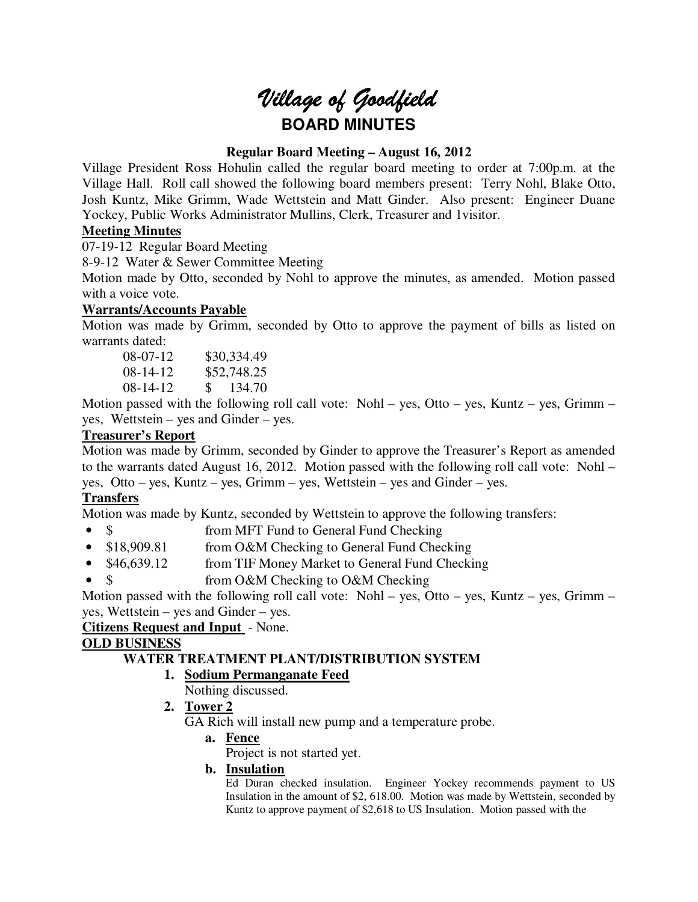# *Village of Goodfield* **BOARD MINUTES**

# **Regular Board Meeting – August 16, 2012**

Village President Ross Hohulin called the regular board meeting to order at 7:00p.m. at the Village Hall. Roll call showed the following board members present: Terry Nohl, Blake Otto, Josh Kuntz, Mike Grimm, Wade Wettstein and Matt Ginder. Also present: Engineer Duane Yockey, Public Works Administrator Mullins, Clerk, Treasurer and 1visitor.

# **Meeting Minutes**

07-19-12 Regular Board Meeting

8-9-12 Water & Sewer Committee Meeting

Motion made by Otto, seconded by Nohl to approve the minutes, as amended. Motion passed with a voice vote.

## **Warrants/Accounts Payable**

Motion was made by Grimm, seconded by Otto to approve the payment of bills as listed on warrants dated:

08-07-12 \$30,334.49 08-14-12 \$52,748.25 08-14-12 \$ 134.70

Motion passed with the following roll call vote: Nohl – yes, Otto – yes, Kuntz – yes, Grimm – yes, Wettstein – yes and Ginder – yes.

# **Treasurer's Report**

Motion was made by Grimm, seconded by Ginder to approve the Treasurer's Report as amended to the warrants dated August 16, 2012. Motion passed with the following roll call vote: Nohl – yes, Otto – yes, Kuntz – yes, Grimm – yes, Wettstein – yes and Ginder – yes.

# **Transfers**

Motion was made by Kuntz, seconded by Wettstein to approve the following transfers:

- \$ from MFT Fund to General Fund Checking
- \$18,909.81 from O&M Checking to General Fund Checking
- \$46,639.12 from TIF Money Market to General Fund Checking
- \$ from O&M Checking to O&M Checking

Motion passed with the following roll call vote: Nohl – yes, Otto – yes, Kuntz – yes, Grimm – yes, Wettstein – yes and Ginder – yes.

# **Citizens Request and Input** - None.

# **OLD BUSINESS**

# **WATER TREATMENT PLANT/DISTRIBUTION SYSTEM**

- **1. Sodium Permanganate Feed** 
	- Nothing discussed.
- **2. Tower 2**

GA Rich will install new pump and a temperature probe.

**a. Fence** 

Project is not started yet.

**b. Insulation** 

Ed Duran checked insulation. Engineer Yockey recommends payment to US Insulation in the amount of \$2, 618.00. Motion was made by Wettstein, seconded by Kuntz to approve payment of \$2,618 to US Insulation. Motion passed with the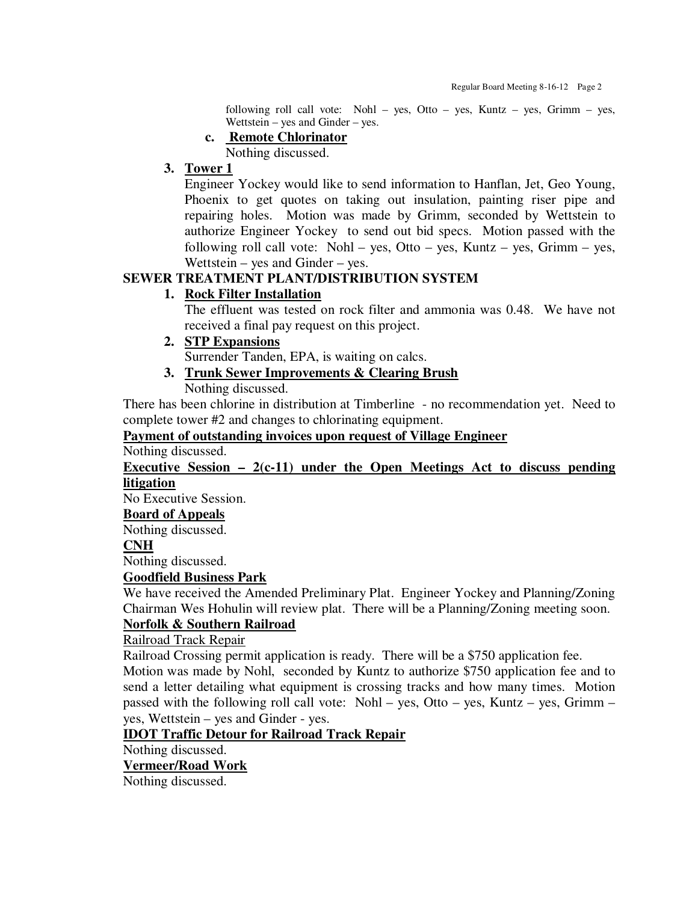following roll call vote: Nohl – yes, Otto – yes, Kuntz – yes, Grimm – yes, Wettstein – yes and Ginder – yes.

**c. Remote Chlorinator** 

Nothing discussed.

## **3. Tower 1**

Engineer Yockey would like to send information to Hanflan, Jet, Geo Young, Phoenix to get quotes on taking out insulation, painting riser pipe and repairing holes. Motion was made by Grimm, seconded by Wettstein to authorize Engineer Yockey to send out bid specs. Motion passed with the following roll call vote: Nohl – yes, Otto – yes, Kuntz – yes, Grimm – yes, Wettstein – yes and Ginder – yes.

# **SEWER TREATMENT PLANT/DISTRIBUTION SYSTEM**

# **1. Rock Filter Installation**

The effluent was tested on rock filter and ammonia was 0.48. We have not received a final pay request on this project.

# **2. STP Expansions**

Surrender Tanden, EPA, is waiting on calcs.

**3. Trunk Sewer Improvements & Clearing Brush**  Nothing discussed.

There has been chlorine in distribution at Timberline - no recommendation yet. Need to complete tower #2 and changes to chlorinating equipment.

## **Payment of outstanding invoices upon request of Village Engineer**

Nothing discussed.

## **Executive Session – 2(c-11) under the Open Meetings Act to discuss pending litigation**

No Executive Session.

#### **Board of Appeals**

Nothing discussed.

#### **CNH**

Nothing discussed.

## **Goodfield Business Park**

We have received the Amended Preliminary Plat. Engineer Yockey and Planning/Zoning Chairman Wes Hohulin will review plat. There will be a Planning/Zoning meeting soon.

# **Norfolk & Southern Railroad**

Railroad Track Repair

Railroad Crossing permit application is ready. There will be a \$750 application fee. Motion was made by Nohl, seconded by Kuntz to authorize \$750 application fee and to send a letter detailing what equipment is crossing tracks and how many times. Motion passed with the following roll call vote: Nohl – yes, Otto – yes, Kuntz – yes, Grimm – yes, Wettstein – yes and Ginder - yes.

## **IDOT Traffic Detour for Railroad Track Repair**

Nothing discussed.

## **Vermeer/Road Work**

Nothing discussed.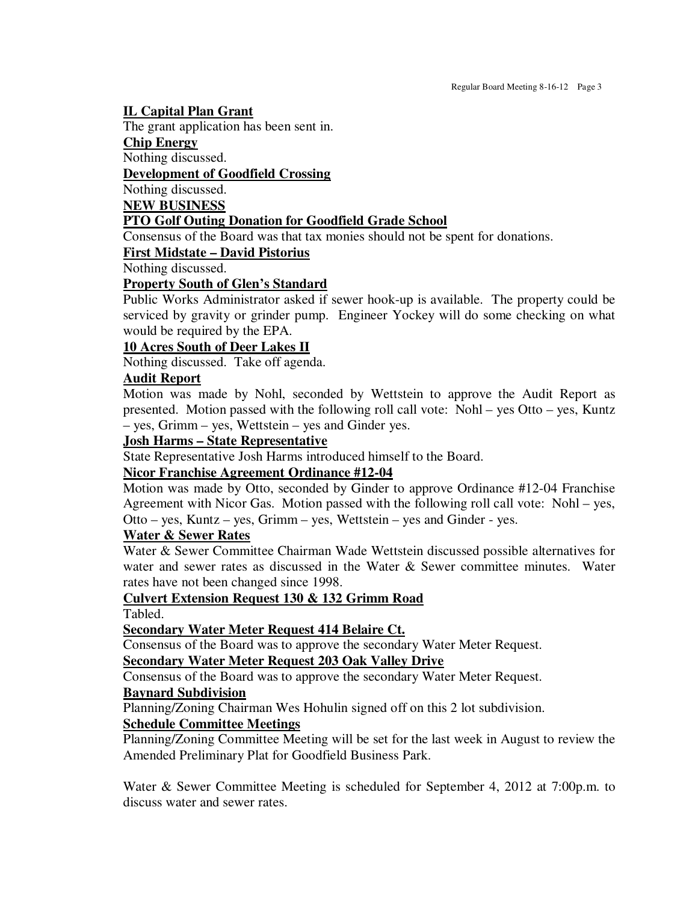#### **IL Capital Plan Grant**

The grant application has been sent in.

**Chip Energy** 

Nothing discussed.

# **Development of Goodfield Crossing**

Nothing discussed.

**NEW BUSINESS** 

## **PTO Golf Outing Donation for Goodfield Grade School**

Consensus of the Board was that tax monies should not be spent for donations.

#### **First Midstate – David Pistorius**

Nothing discussed.

# **Property South of Glen's Standard**

Public Works Administrator asked if sewer hook-up is available. The property could be serviced by gravity or grinder pump. Engineer Yockey will do some checking on what would be required by the EPA.

#### **10 Acres South of Deer Lakes II**

Nothing discussed. Take off agenda.

## **Audit Report**

Motion was made by Nohl, seconded by Wettstein to approve the Audit Report as presented. Motion passed with the following roll call vote: Nohl – yes Otto – yes, Kuntz – yes, Grimm – yes, Wettstein – yes and Ginder yes.

#### **Josh Harms – State Representative**

State Representative Josh Harms introduced himself to the Board.

## **Nicor Franchise Agreement Ordinance #12-04**

Motion was made by Otto, seconded by Ginder to approve Ordinance #12-04 Franchise Agreement with Nicor Gas. Motion passed with the following roll call vote: Nohl – yes, Otto – yes, Kuntz – yes, Grimm – yes, Wettstein – yes and Ginder - yes.

#### **Water & Sewer Rates**

Water & Sewer Committee Chairman Wade Wettstein discussed possible alternatives for water and sewer rates as discussed in the Water & Sewer committee minutes. Water rates have not been changed since 1998.

## **Culvert Extension Request 130 & 132 Grimm Road**

Tabled.

## **Secondary Water Meter Request 414 Belaire Ct.**

Consensus of the Board was to approve the secondary Water Meter Request.

#### **Secondary Water Meter Request 203 Oak Valley Drive**

Consensus of the Board was to approve the secondary Water Meter Request.

## **Baynard Subdivision**

Planning/Zoning Chairman Wes Hohulin signed off on this 2 lot subdivision.

#### **Schedule Committee Meetings**

Planning/Zoning Committee Meeting will be set for the last week in August to review the Amended Preliminary Plat for Goodfield Business Park.

Water & Sewer Committee Meeting is scheduled for September 4, 2012 at 7:00p.m. to discuss water and sewer rates.